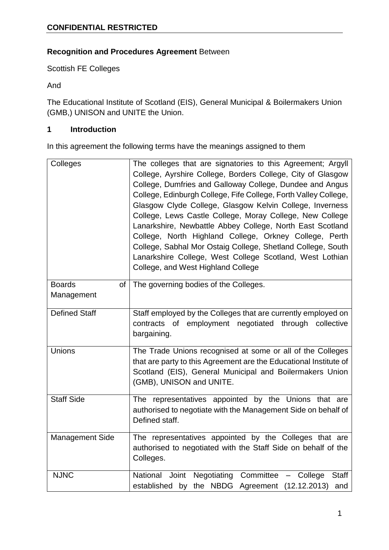# **Recognition and Procedures Agreement** Between

Scottish FE Colleges

And

The Educational Institute of Scotland (EIS), General Municipal & Boilermakers Union (GMB,) UNISON and UNITE the Union.

# **1 Introduction**

In this agreement the following terms have the meanings assigned to them

| Colleges                          | The colleges that are signatories to this Agreement; Argyll<br>College, Ayrshire College, Borders College, City of Glasgow<br>College, Dumfries and Galloway College, Dundee and Angus<br>College, Edinburgh College, Fife College, Forth Valley College,<br>Glasgow Clyde College, Glasgow Kelvin College, Inverness<br>College, Lews Castle College, Moray College, New College<br>Lanarkshire, Newbattle Abbey College, North East Scotland<br>College, North Highland College, Orkney College, Perth<br>College, Sabhal Mor Ostaig College, Shetland College, South<br>Lanarkshire College, West College Scotland, West Lothian<br>College, and West Highland College |
|-----------------------------------|---------------------------------------------------------------------------------------------------------------------------------------------------------------------------------------------------------------------------------------------------------------------------------------------------------------------------------------------------------------------------------------------------------------------------------------------------------------------------------------------------------------------------------------------------------------------------------------------------------------------------------------------------------------------------|
| <b>Boards</b><br>of<br>Management | The governing bodies of the Colleges.                                                                                                                                                                                                                                                                                                                                                                                                                                                                                                                                                                                                                                     |
| <b>Defined Staff</b>              | Staff employed by the Colleges that are currently employed on<br>contracts of employment negotiated through collective<br>bargaining.                                                                                                                                                                                                                                                                                                                                                                                                                                                                                                                                     |
| <b>Unions</b>                     | The Trade Unions recognised at some or all of the Colleges<br>that are party to this Agreement are the Educational Institute of<br>Scotland (EIS), General Municipal and Boilermakers Union<br>(GMB), UNISON and UNITE.                                                                                                                                                                                                                                                                                                                                                                                                                                                   |
| <b>Staff Side</b>                 | The representatives appointed by the Unions that are<br>authorised to negotiate with the Management Side on behalf of<br>Defined staff.                                                                                                                                                                                                                                                                                                                                                                                                                                                                                                                                   |
| <b>Management Side</b>            | The representatives appointed by the Colleges that are<br>authorised to negotiated with the Staff Side on behalf of the<br>Colleges.                                                                                                                                                                                                                                                                                                                                                                                                                                                                                                                                      |
| <b>NJNC</b>                       | Negotiating Committee<br>National<br>Joint<br>College<br><b>Staff</b><br>$\overline{\phantom{m}}$<br>the NBDG Agreement (12.12.2013)<br>established by<br>and                                                                                                                                                                                                                                                                                                                                                                                                                                                                                                             |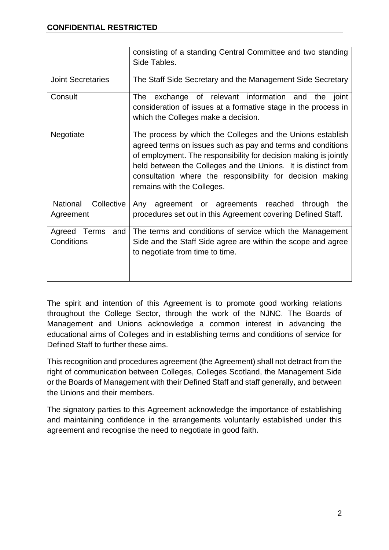|                                     | consisting of a standing Central Committee and two standing<br>Side Tables.                                                                                                                                                                                                                                                                               |  |
|-------------------------------------|-----------------------------------------------------------------------------------------------------------------------------------------------------------------------------------------------------------------------------------------------------------------------------------------------------------------------------------------------------------|--|
| <b>Joint Secretaries</b>            | The Staff Side Secretary and the Management Side Secretary                                                                                                                                                                                                                                                                                                |  |
| Consult                             | exchange of relevant information and<br>the<br>joint<br>The<br>consideration of issues at a formative stage in the process in<br>which the Colleges make a decision.                                                                                                                                                                                      |  |
| Negotiate                           | The process by which the Colleges and the Unions establish<br>agreed terms on issues such as pay and terms and conditions<br>of employment. The responsibility for decision making is jointly<br>held between the Colleges and the Unions. It is distinct from<br>consultation where the responsibility for decision making<br>remains with the Colleges. |  |
| National<br>Collective<br>Agreement | agreement or agreements reached<br>through<br>the<br>Any<br>procedures set out in this Agreement covering Defined Staff.                                                                                                                                                                                                                                  |  |
| Agreed Terms<br>and<br>Conditions   | The terms and conditions of service which the Management<br>Side and the Staff Side agree are within the scope and agree<br>to negotiate from time to time.                                                                                                                                                                                               |  |

The spirit and intention of this Agreement is to promote good working relations throughout the College Sector, through the work of the NJNC. The Boards of Management and Unions acknowledge a common interest in advancing the educational aims of Colleges and in establishing terms and conditions of service for Defined Staff to further these aims.

This recognition and procedures agreement (the Agreement) shall not detract from the right of communication between Colleges, Colleges Scotland, the Management Side or the Boards of Management with their Defined Staff and staff generally, and between the Unions and their members.

The signatory parties to this Agreement acknowledge the importance of establishing and maintaining confidence in the arrangements voluntarily established under this agreement and recognise the need to negotiate in good faith.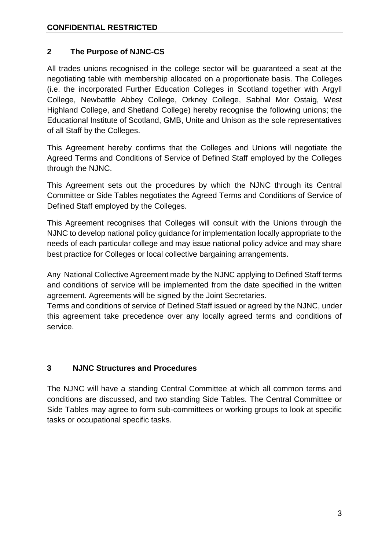# **2 The Purpose of NJNC-CS**

All trades unions recognised in the college sector will be guaranteed a seat at the negotiating table with membership allocated on a proportionate basis. The Colleges (i.e. the incorporated Further Education Colleges in Scotland together with Argyll College, Newbattle Abbey College, Orkney College, Sabhal Mor Ostaig, West Highland College, and Shetland College) hereby recognise the following unions; the Educational Institute of Scotland, GMB, Unite and Unison as the sole representatives of all Staff by the Colleges.

This Agreement hereby confirms that the Colleges and Unions will negotiate the Agreed Terms and Conditions of Service of Defined Staff employed by the Colleges through the NJNC.

This Agreement sets out the procedures by which the NJNC through its Central Committee or Side Tables negotiates the Agreed Terms and Conditions of Service of Defined Staff employed by the Colleges.

This Agreement recognises that Colleges will consult with the Unions through the NJNC to develop national policy guidance for implementation locally appropriate to the needs of each particular college and may issue national policy advice and may share best practice for Colleges or local collective bargaining arrangements.

Any National Collective Agreement made by the NJNC applying to Defined Staff terms and conditions of service will be implemented from the date specified in the written agreement. Agreements will be signed by the Joint Secretaries.

Terms and conditions of service of Defined Staff issued or agreed by the NJNC, under this agreement take precedence over any locally agreed terms and conditions of service.

# **3 NJNC Structures and Procedures**

The NJNC will have a standing Central Committee at which all common terms and conditions are discussed, and two standing Side Tables. The Central Committee or Side Tables may agree to form sub-committees or working groups to look at specific tasks or occupational specific tasks.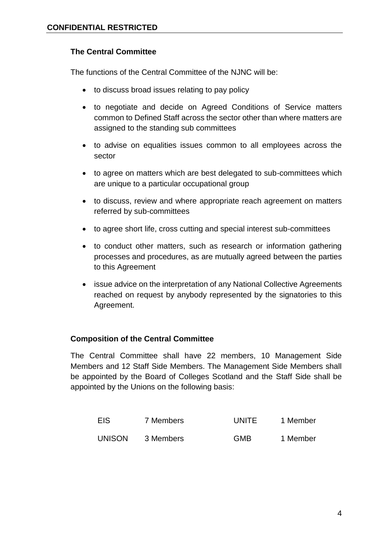#### **The Central Committee**

The functions of the Central Committee of the NJNC will be:

- to discuss broad issues relating to pay policy
- to negotiate and decide on Agreed Conditions of Service matters common to Defined Staff across the sector other than where matters are assigned to the standing sub committees
- to advise on equalities issues common to all employees across the sector
- to agree on matters which are best delegated to sub-committees which are unique to a particular occupational group
- to discuss, review and where appropriate reach agreement on matters referred by sub-committees
- to agree short life, cross cutting and special interest sub-committees
- to conduct other matters, such as research or information gathering processes and procedures, as are mutually agreed between the parties to this Agreement
- issue advice on the interpretation of any National Collective Agreements reached on request by anybody represented by the signatories to this Agreement.

#### **Composition of the Central Committee**

The Central Committee shall have 22 members, 10 Management Side Members and 12 Staff Side Members. The Management Side Members shall be appointed by the Board of Colleges Scotland and the Staff Side shall be appointed by the Unions on the following basis:

| EIS           | 7 Members | <b>UNITE</b> | 1 Member |
|---------------|-----------|--------------|----------|
| <b>UNISON</b> | 3 Members | <b>GMB</b>   | 1 Member |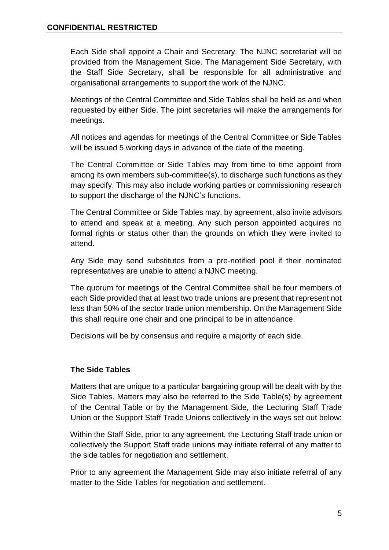Each Side shall appoint a Chair and Secretary. The NJNC secretariat will be provided from the Management Side. The Management Side Secretary, with the Staff Side Secretary, shall be responsible for all administrative and organisational arrangements to support the work of the NJNC.

Meetings of the Central Committee and Side Tables shall be held as and when requested by either Side. The joint secretaries will make the arrangements for meetings.

All notices and agendas for meetings of the Central Committee or Side Tables will be issued 5 working days in advance of the date of the meeting.

The Central Committee or Side Tables may from time to time appoint from among its own members sub-committee(s), to discharge such functions as they may specify. This may also include working parties or commissioning research to support the discharge of the NJNC's functions.

The Central Committee or Side Tables may, by agreement, also invite advisors to attend and speak at a meeting. Any such person appointed acquires no formal rights or status other than the grounds on which they were invited to attend.

Any Side may send substitutes from a pre-notified pool if their nominated representatives are unable to attend a NJNC meeting.

The quorum for meetings of the Central Committee shall be four members of each Side provided that at least two trade unions are present that represent not less than 50% of the sector trade union membership. On the Management Side this shall require one chair and one principal to be in attendance.

Decisions will be by consensus and require a majority of each side.

# **The Side Tables**

Matters that are unique to a particular bargaining group will be dealt with by the Side Tables. Matters may also be referred to the Side Table(s) by agreement of the Central Table or by the Management Side, the Lecturing Staff Trade Union or the Support Staff Trade Unions collectively in the ways set out below:

Within the Staff Side, prior to any agreement, the Lecturing Staff trade union or collectively the Support Staff trade unions may initiate referral of any matter to the side tables for negotiation and settlement.

Prior to any agreement the Management Side may also initiate referral of any matter to the Side Tables for negotiation and settlement.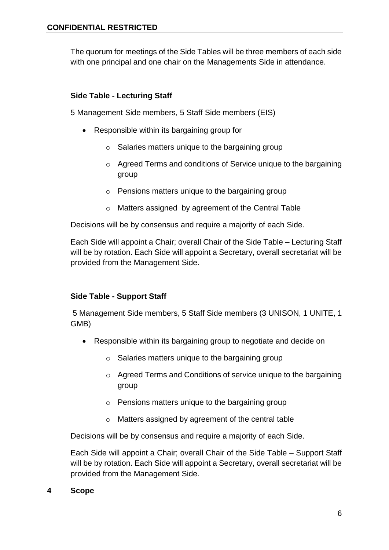The quorum for meetings of the Side Tables will be three members of each side with one principal and one chair on the Managements Side in attendance.

#### **Side Table - Lecturing Staff**

5 Management Side members, 5 Staff Side members (EIS)

- Responsible within its bargaining group for
	- o Salaries matters unique to the bargaining group
	- o Agreed Terms and conditions of Service unique to the bargaining group
	- o Pensions matters unique to the bargaining group
	- o Matters assigned by agreement of the Central Table

Decisions will be by consensus and require a majority of each Side.

Each Side will appoint a Chair; overall Chair of the Side Table – Lecturing Staff will be by rotation. Each Side will appoint a Secretary, overall secretariat will be provided from the Management Side.

#### **Side Table - Support Staff**

5 Management Side members, 5 Staff Side members (3 UNISON, 1 UNITE, 1 GMB)

- Responsible within its bargaining group to negotiate and decide on
	- $\circ$  Salaries matters unique to the bargaining group
	- o Agreed Terms and Conditions of service unique to the bargaining group
	- o Pensions matters unique to the bargaining group
	- o Matters assigned by agreement of the central table

Decisions will be by consensus and require a majority of each Side.

Each Side will appoint a Chair; overall Chair of the Side Table – Support Staff will be by rotation. Each Side will appoint a Secretary, overall secretariat will be provided from the Management Side.

**4 Scope**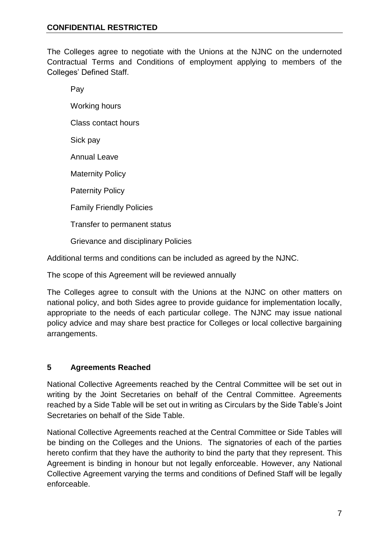The Colleges agree to negotiate with the Unions at the NJNC on the undernoted Contractual Terms and Conditions of employment applying to members of the Colleges' Defined Staff.

Pay Working hours Class contact hours Sick pay Annual Leave Maternity Policy Paternity Policy Family Friendly Policies Transfer to permanent status Grievance and disciplinary Policies

Additional terms and conditions can be included as agreed by the NJNC.

The scope of this Agreement will be reviewed annually

The Colleges agree to consult with the Unions at the NJNC on other matters on national policy, and both Sides agree to provide guidance for implementation locally, appropriate to the needs of each particular college. The NJNC may issue national policy advice and may share best practice for Colleges or local collective bargaining arrangements.

#### **5 Agreements Reached**

National Collective Agreements reached by the Central Committee will be set out in writing by the Joint Secretaries on behalf of the Central Committee. Agreements reached by a Side Table will be set out in writing as Circulars by the Side Table's Joint Secretaries on behalf of the Side Table.

National Collective Agreements reached at the Central Committee or Side Tables will be binding on the Colleges and the Unions. The signatories of each of the parties hereto confirm that they have the authority to bind the party that they represent. This Agreement is binding in honour but not legally enforceable. However, any National Collective Agreement varying the terms and conditions of Defined Staff will be legally enforceable.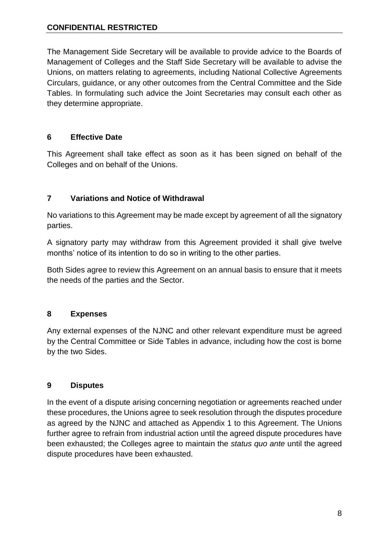### **CONFIDENTIAL RESTRICTED**

The Management Side Secretary will be available to provide advice to the Boards of Management of Colleges and the Staff Side Secretary will be available to advise the Unions, on matters relating to agreements, including National Collective Agreements Circulars, guidance, or any other outcomes from the Central Committee and the Side Tables. In formulating such advice the Joint Secretaries may consult each other as they determine appropriate.

## **6 Effective Date**

This Agreement shall take effect as soon as it has been signed on behalf of the Colleges and on behalf of the Unions.

# **7 Variations and Notice of Withdrawal**

No variations to this Agreement may be made except by agreement of all the signatory parties.

A signatory party may withdraw from this Agreement provided it shall give twelve months' notice of its intention to do so in writing to the other parties.

Both Sides agree to review this Agreement on an annual basis to ensure that it meets the needs of the parties and the Sector.

#### **8 Expenses**

Any external expenses of the NJNC and other relevant expenditure must be agreed by the Central Committee or Side Tables in advance, including how the cost is borne by the two Sides.

#### **9 Disputes**

In the event of a dispute arising concerning negotiation or agreements reached under these procedures, the Unions agree to seek resolution through the disputes procedure as agreed by the NJNC and attached as Appendix 1 to this Agreement. The Unions further agree to refrain from industrial action until the agreed dispute procedures have been exhausted; the Colleges agree to maintain the *status quo ante* until the agreed dispute procedures have been exhausted.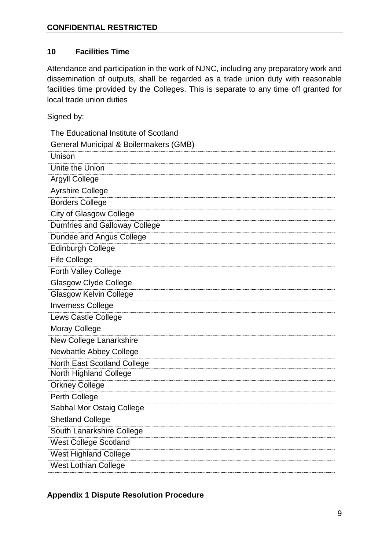## **10 Facilities Time**

Attendance and participation in the work of NJNC, including any preparatory work and dissemination of outputs, shall be regarded as a trade union duty with reasonable facilities time provided by the Colleges. This is separate to any time off granted for local trade union duties

Signed by:

| The Educational Institute of Scotland  |
|----------------------------------------|
| General Municipal & Boilermakers (GMB) |
| Unison                                 |
| Unite the Union                        |
| <b>Argyll College</b>                  |
| <b>Ayrshire College</b>                |
| <b>Borders College</b>                 |
| <b>City of Glasgow College</b>         |
| <b>Dumfries and Galloway College</b>   |
| Dundee and Angus College               |
| <b>Edinburgh College</b>               |
| <b>Fife College</b>                    |
| <b>Forth Valley College</b>            |
| <b>Glasgow Clyde College</b>           |
| <b>Glasgow Kelvin College</b>          |
| <b>Inverness College</b>               |
| Lews Castle College                    |
| <b>Moray College</b>                   |
| New College Lanarkshire                |
| Newbattle Abbey College                |
| North East Scotland College            |
| <b>North Highland College</b>          |
| <b>Orkney College</b>                  |
| Perth College                          |
| Sabhal Mor Ostaig College              |
| <b>Shetland College</b>                |
| South Lanarkshire College              |
| <b>West College Scotland</b>           |
| <b>West Highland College</b>           |
| West Lothian College                   |

## **Appendix 1 Dispute Resolution Procedure**